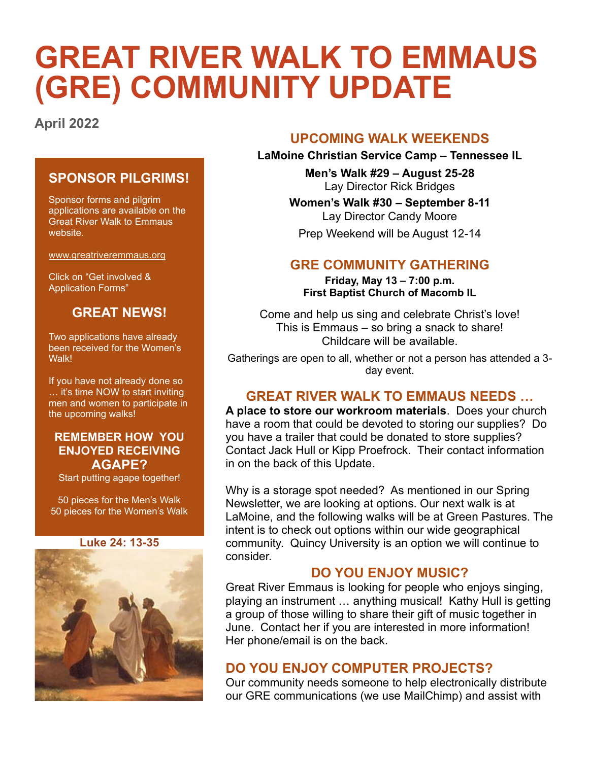# **GREAT RIVER WALK TO EMMAUS (GRE) COMMUNITY UPDATE**

**April 2022**

## **SPONSOR PILGRIMS!**

Sponsor forms and pilgrim applications are available on the Great River Walk to Emmaus website.

[www.greatriveremmaus.org](http://www.greatriveremmaus.org/)

Click on "Get involved & Application Forms"

# **GREAT NEWS!**

Two applications have already been received for the Women's Walk!

If you have not already done so … it's time NOW to start inviting men and women to participate in the upcoming walks!

#### **REMEMBER HOW YOU ENJOYED RECEIVING AGAPE?**

Start putting agape together!

50 pieces for the Men's Walk 50 pieces for the Women's Walk

#### **Luke 24: 13-35**



#### **UPCOMING WALK WEEKENDS**

**LaMoine Christian Service Camp – Tennessee IL**

**Men's Walk #29 – August 25-28** Lay Director Rick Bridges

**Women's Walk #30 – September 8-11** Lay Director Candy Moore

Prep Weekend will be August 12-14

# **GRE COMMUNITY GATHERING**

**Friday, May 13 – 7:00 p.m. First Baptist Church of Macomb IL**

Come and help us sing and celebrate Christ's love! This is Emmaus – so bring a snack to share! Childcare will be available.

Gatherings are open to all, whether or not a person has attended a 3 day event.

## **GREAT RIVER WALK TO EMMAUS NEEDS …**

**A place to store our workroom materials**. Does your church have a room that could be devoted to storing our supplies? Do you have a trailer that could be donated to store supplies? Contact Jack Hull or Kipp Proefrock. Their contact information in on the back of this Update.

Why is a storage spot needed? As mentioned in our Spring Newsletter, we are looking at options. Our next walk is at LaMoine, and the following walks will be at Green Pastures. The intent is to check out options within our wide geographical community. Quincy University is an option we will continue to consider.

## **DO YOU ENJOY MUSIC?**

Great River Emmaus is looking for people who enjoys singing, playing an instrument … anything musical! Kathy Hull is getting a group of those willing to share their gift of music together in June. Contact her if you are interested in more information! Her phone/email is on the back.

#### **DO YOU ENJOY COMPUTER PROJECTS?**

Our community needs someone to help electronically distribute our GRE communications (we use MailChimp) and assist with